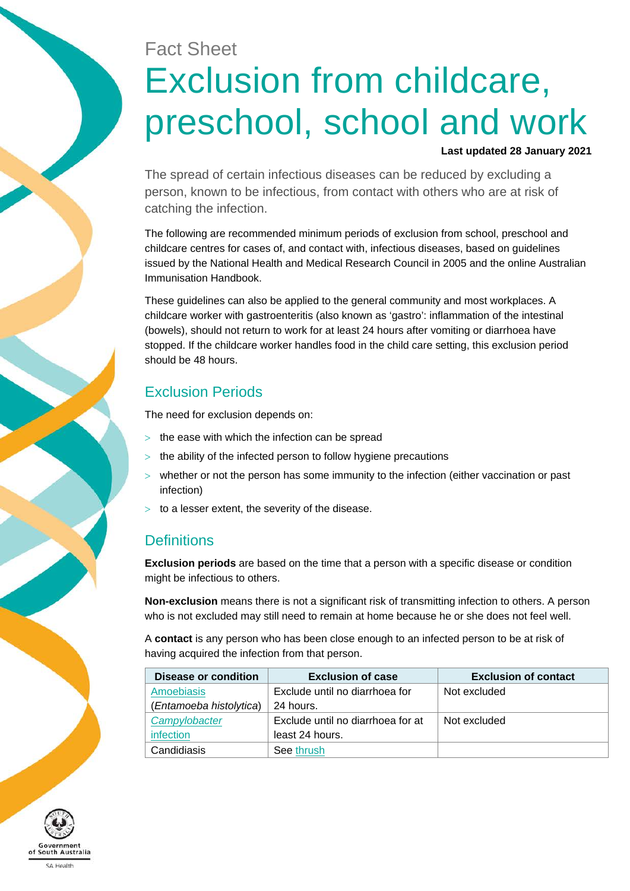# Fact Sheet Exclusion from childcare, preschool, school and work

#### **Last updated 28 January 2021**

The spread of certain infectious diseases can be reduced by excluding a person, known to be infectious, from contact with others who are at risk of catching the infection.

The following are recommended minimum periods of exclusion from school, preschool and childcare centres for cases of, and contact with, infectious diseases, based on guidelines issued by the National Health and Medical Research Council in 2005 and the online Australian Immunisation Handbook.

These guidelines can also be applied to the general community and most workplaces. A childcare worker with gastroenteritis (also known as 'gastro': inflammation of the intestinal (bowels), should not return to work for at least 24 hours after vomiting or diarrhoea have stopped. If the childcare worker handles food in the child care setting, this exclusion period should be 48 hours.

#### Exclusion Periods

The need for exclusion depends on:

- $>$  the ease with which the infection can be spread
- $>$  the ability of the infected person to follow hygiene precautions
- whether or not the person has some immunity to the infection (either vaccination or past infection)
- to a lesser extent, the severity of the disease.

### **Definitions**

**Exclusion periods** are based on the time that a person with a specific disease or condition might be infectious to others.

**Non-exclusion** means there is not a significant risk of transmitting infection to others. A person who is not excluded may still need to remain at home because he or she does not feel well.

A **contact** is any person who has been close enough to an infected person to be at risk of having acquired the infection from that person.

| Disease or condition    | <b>Exclusion of case</b>          | <b>Exclusion of contact</b> |
|-------------------------|-----------------------------------|-----------------------------|
| <b>Amoebiasis</b>       | Exclude until no diarrhoea for    | Not excluded                |
| (Entamoeba histolytica) | 24 hours.                         |                             |
| Campylobacter           | Exclude until no diarrhoea for at | Not excluded                |
| <i>infection</i>        | least 24 hours.                   |                             |
| Candidiasis             | See thrush                        |                             |

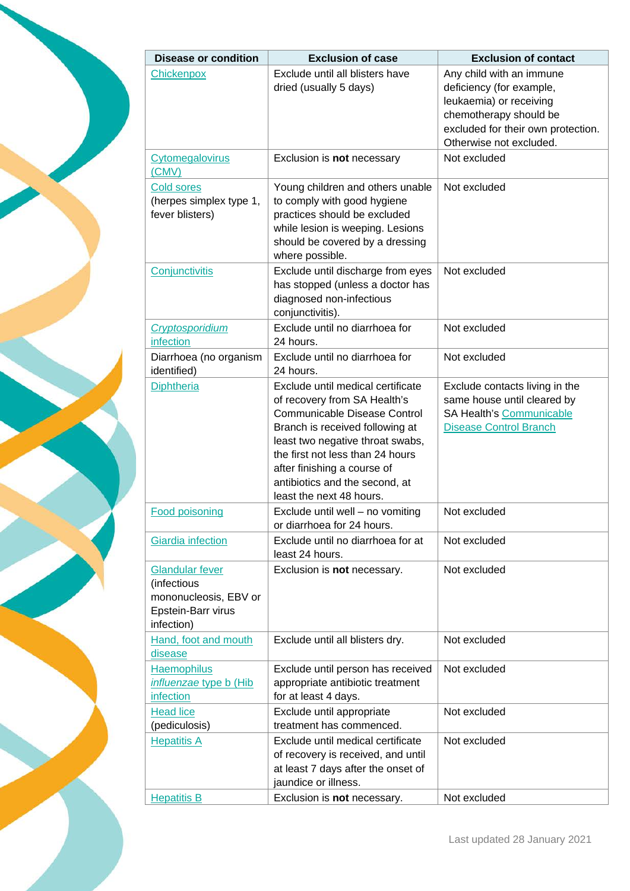

| <b>Disease or condition</b>                                                                        | <b>Exclusion of case</b>                                                                                                                                                                                                                                                                                                                             | <b>Exclusion of contact</b>                                                                                                                                                |
|----------------------------------------------------------------------------------------------------|------------------------------------------------------------------------------------------------------------------------------------------------------------------------------------------------------------------------------------------------------------------------------------------------------------------------------------------------------|----------------------------------------------------------------------------------------------------------------------------------------------------------------------------|
| Chickenpox                                                                                         | Exclude until all blisters have<br>dried (usually 5 days)                                                                                                                                                                                                                                                                                            | Any child with an immune<br>deficiency (for example,<br>leukaemia) or receiving<br>chemotherapy should be<br>excluded for their own protection.<br>Otherwise not excluded. |
| <b>Cytomegalovirus</b><br>(CMV)                                                                    | Exclusion is not necessary                                                                                                                                                                                                                                                                                                                           | Not excluded                                                                                                                                                               |
| <b>Cold sores</b><br>(herpes simplex type 1,<br>fever blisters)                                    | Young children and others unable<br>to comply with good hygiene<br>practices should be excluded<br>while lesion is weeping. Lesions<br>should be covered by a dressing<br>where possible.                                                                                                                                                            | Not excluded                                                                                                                                                               |
| Conjunctivitis                                                                                     | Exclude until discharge from eyes<br>has stopped (unless a doctor has<br>diagnosed non-infectious<br>conjunctivitis).                                                                                                                                                                                                                                | Not excluded                                                                                                                                                               |
| Cryptosporidium<br>infection                                                                       | Exclude until no diarrhoea for<br>24 hours.                                                                                                                                                                                                                                                                                                          | Not excluded                                                                                                                                                               |
| Diarrhoea (no organism<br>identified)                                                              | Exclude until no diarrhoea for<br>24 hours.                                                                                                                                                                                                                                                                                                          | Not excluded                                                                                                                                                               |
| <b>Diphtheria</b><br><b>Food poisoning</b>                                                         | Exclude until medical certificate<br>of recovery from SA Health's<br><b>Communicable Disease Control</b><br>Branch is received following at<br>least two negative throat swabs,<br>the first not less than 24 hours<br>after finishing a course of<br>antibiotics and the second, at<br>least the next 48 hours.<br>Exclude until well - no vomiting | Exclude contacts living in the<br>same house until cleared by<br>SA Health's Communicable<br><b>Disease Control Branch</b><br>Not excluded                                 |
| Giardia infection                                                                                  | or diarrhoea for 24 hours.<br>Exclude until no diarrhoea for at                                                                                                                                                                                                                                                                                      | Not excluded                                                                                                                                                               |
| <b>Glandular fever</b><br>(infectious<br>mononucleosis, EBV or<br>Epstein-Barr virus<br>infection) | least 24 hours.<br>Exclusion is not necessary.                                                                                                                                                                                                                                                                                                       | Not excluded                                                                                                                                                               |
| Hand, foot and mouth<br>disease                                                                    | Exclude until all blisters dry.                                                                                                                                                                                                                                                                                                                      | Not excluded                                                                                                                                                               |
| <b>Haemophilus</b><br><i>influenzae</i> type b (Hib<br><i>infection</i>                            | Exclude until person has received<br>appropriate antibiotic treatment<br>for at least 4 days.                                                                                                                                                                                                                                                        | Not excluded                                                                                                                                                               |
| <b>Head lice</b>                                                                                   | Exclude until appropriate                                                                                                                                                                                                                                                                                                                            | Not excluded                                                                                                                                                               |
| (pediculosis)                                                                                      | treatment has commenced.                                                                                                                                                                                                                                                                                                                             |                                                                                                                                                                            |
| <b>Hepatitis A</b>                                                                                 | Exclude until medical certificate<br>of recovery is received, and until<br>at least 7 days after the onset of<br>jaundice or illness.                                                                                                                                                                                                                | Not excluded                                                                                                                                                               |
| <b>Hepatitis B</b>                                                                                 | Exclusion is not necessary.                                                                                                                                                                                                                                                                                                                          | Not excluded                                                                                                                                                               |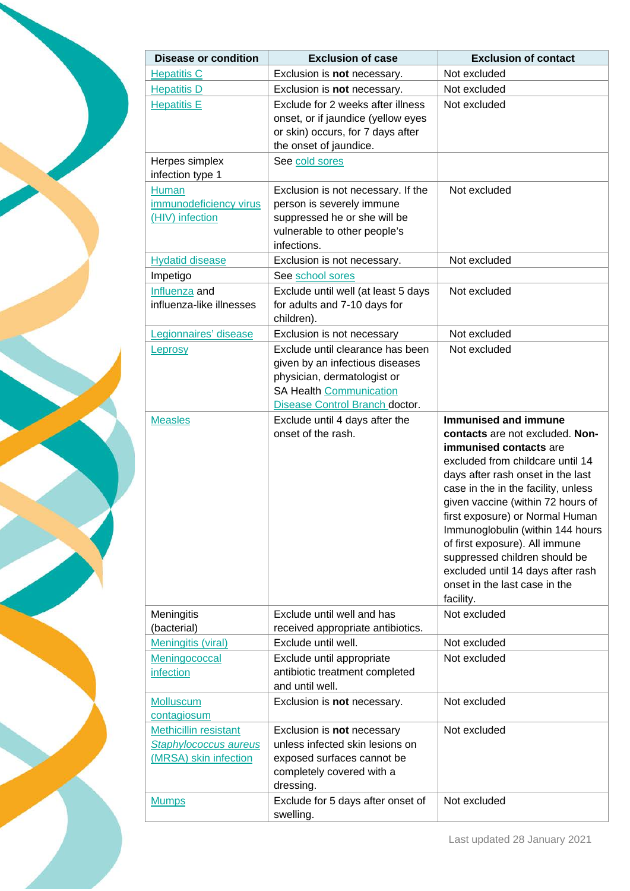

| <b>Disease or condition</b>                                                           | <b>Exclusion of case</b>                                                                                                                                        | <b>Exclusion of contact</b>                                                                                                                                                                                                                                                                                                                                                                                                                                         |
|---------------------------------------------------------------------------------------|-----------------------------------------------------------------------------------------------------------------------------------------------------------------|---------------------------------------------------------------------------------------------------------------------------------------------------------------------------------------------------------------------------------------------------------------------------------------------------------------------------------------------------------------------------------------------------------------------------------------------------------------------|
| <b>Hepatitis C</b>                                                                    | Exclusion is not necessary.                                                                                                                                     | Not excluded                                                                                                                                                                                                                                                                                                                                                                                                                                                        |
| <b>Hepatitis D</b>                                                                    | Exclusion is not necessary.                                                                                                                                     | Not excluded                                                                                                                                                                                                                                                                                                                                                                                                                                                        |
| <b>Hepatitis E</b>                                                                    | Exclude for 2 weeks after illness<br>onset, or if jaundice (yellow eyes<br>or skin) occurs, for 7 days after<br>the onset of jaundice.                          | Not excluded                                                                                                                                                                                                                                                                                                                                                                                                                                                        |
| Herpes simplex<br>infection type 1                                                    | See cold sores                                                                                                                                                  |                                                                                                                                                                                                                                                                                                                                                                                                                                                                     |
| Human<br>immunodeficiency virus<br>(HIV) infection                                    | Exclusion is not necessary. If the<br>person is severely immune<br>suppressed he or she will be<br>vulnerable to other people's<br>infections.                  | Not excluded                                                                                                                                                                                                                                                                                                                                                                                                                                                        |
| <b>Hydatid disease</b>                                                                | Exclusion is not necessary.                                                                                                                                     | Not excluded                                                                                                                                                                                                                                                                                                                                                                                                                                                        |
| Impetigo                                                                              | See school sores                                                                                                                                                |                                                                                                                                                                                                                                                                                                                                                                                                                                                                     |
| Influenza and<br>influenza-like illnesses                                             | Exclude until well (at least 5 days<br>for adults and 7-10 days for<br>children).                                                                               | Not excluded                                                                                                                                                                                                                                                                                                                                                                                                                                                        |
| Legionnaires' disease                                                                 | Exclusion is not necessary                                                                                                                                      | Not excluded                                                                                                                                                                                                                                                                                                                                                                                                                                                        |
| Leprosy                                                                               | Exclude until clearance has been<br>given by an infectious diseases<br>physician, dermatologist or<br>SA Health Communication<br>Disease Control Branch doctor. | Not excluded                                                                                                                                                                                                                                                                                                                                                                                                                                                        |
| <b>Measles</b>                                                                        | Exclude until 4 days after the<br>onset of the rash.                                                                                                            | Immunised and immune<br>contacts are not excluded. Non-<br>immunised contacts are<br>excluded from childcare until 14<br>days after rash onset in the last<br>case in the in the facility, unless<br>given vaccine (within 72 hours of<br>first exposure) or Normal Human<br>Immunoglobulin (within 144 hours<br>of first exposure). All immune<br>suppressed children should be<br>excluded until 14 days after rash<br>onset in the last case in the<br>facility. |
| Meningitis                                                                            | Exclude until well and has                                                                                                                                      | Not excluded                                                                                                                                                                                                                                                                                                                                                                                                                                                        |
| (bacterial)                                                                           | received appropriate antibiotics.                                                                                                                               |                                                                                                                                                                                                                                                                                                                                                                                                                                                                     |
| <b>Meningitis (viral)</b>                                                             | Exclude until well.                                                                                                                                             | Not excluded                                                                                                                                                                                                                                                                                                                                                                                                                                                        |
| Meningococcal<br>infection                                                            | Exclude until appropriate<br>antibiotic treatment completed<br>and until well.                                                                                  | Not excluded                                                                                                                                                                                                                                                                                                                                                                                                                                                        |
| Molluscum<br>contagiosum                                                              | Exclusion is not necessary.                                                                                                                                     | Not excluded                                                                                                                                                                                                                                                                                                                                                                                                                                                        |
| <b>Methicillin resistant</b><br><b>Staphylococcus aureus</b><br>(MRSA) skin infection | Exclusion is not necessary<br>unless infected skin lesions on<br>exposed surfaces cannot be<br>completely covered with a<br>dressing.                           | Not excluded                                                                                                                                                                                                                                                                                                                                                                                                                                                        |
| <b>Mumps</b>                                                                          | Exclude for 5 days after onset of<br>swelling.                                                                                                                  | Not excluded                                                                                                                                                                                                                                                                                                                                                                                                                                                        |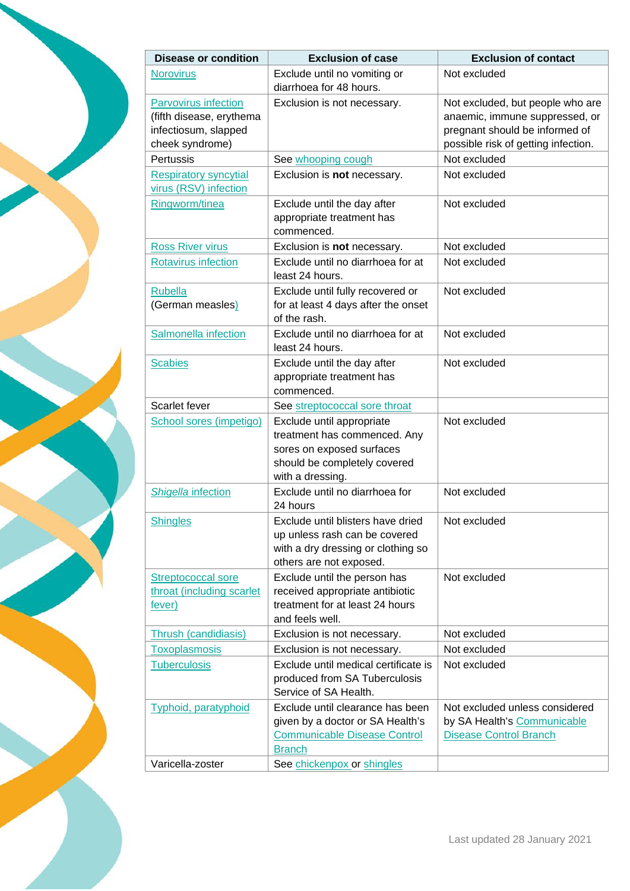

<span id="page-3-0"></span>

| <b>Disease or condition</b>             | <b>Exclusion of case</b>                             | <b>Exclusion of contact</b>         |
|-----------------------------------------|------------------------------------------------------|-------------------------------------|
| <b>Norovirus</b>                        | Exclude until no vomiting or                         | Not excluded                        |
|                                         | diarrhoea for 48 hours.                              |                                     |
| <b>Parvovirus infection</b>             | Exclusion is not necessary.                          | Not excluded, but people who are    |
| (fifth disease, erythema                |                                                      | anaemic, immune suppressed, or      |
| infectiosum, slapped                    |                                                      | pregnant should be informed of      |
| cheek syndrome)                         |                                                      | possible risk of getting infection. |
| Pertussis                               | See whooping cough                                   | Not excluded                        |
| <b>Respiratory syncytial</b>            | Exclusion is not necessary.                          | Not excluded                        |
| virus (RSV) infection<br>Ringworm/tinea | Exclude until the day after                          | Not excluded                        |
|                                         | appropriate treatment has                            |                                     |
|                                         | commenced.                                           |                                     |
| <b>Ross River virus</b>                 | Exclusion is not necessary.                          | Not excluded                        |
| Rotavirus infection                     | Exclude until no diarrhoea for at                    | Not excluded                        |
|                                         | least 24 hours.                                      |                                     |
| <b>Rubella</b>                          | Exclude until fully recovered or                     | Not excluded                        |
| (German measles)                        | for at least 4 days after the onset                  |                                     |
|                                         | of the rash.                                         |                                     |
| Salmonella infection                    | Exclude until no diarrhoea for at                    | Not excluded                        |
|                                         | least 24 hours.                                      |                                     |
| <b>Scabies</b>                          | Exclude until the day after                          | Not excluded                        |
|                                         | appropriate treatment has                            |                                     |
|                                         | commenced.                                           |                                     |
| Scarlet fever                           | See streptococcal sore throat                        |                                     |
| School sores (impetigo)                 | Exclude until appropriate                            | Not excluded                        |
|                                         | treatment has commenced. Any                         |                                     |
|                                         | sores on exposed surfaces                            |                                     |
|                                         | should be completely covered<br>with a dressing.     |                                     |
| Shigella infection                      | Exclude until no diarrhoea for                       | Not excluded                        |
|                                         | 24 hours                                             |                                     |
| <b>Shingles</b>                         | Exclude until blisters have dried                    | Not excluded                        |
|                                         | up unless rash can be covered                        |                                     |
|                                         | with a dry dressing or clothing so                   |                                     |
|                                         | others are not exposed.                              |                                     |
| Streptococcal sore                      | Exclude until the person has                         | Not excluded                        |
| throat (including scarlet               | received appropriate antibiotic                      |                                     |
| fever)                                  | treatment for at least 24 hours                      |                                     |
|                                         | and feels well.                                      |                                     |
| <b>Thrush (candidiasis)</b>             | Exclusion is not necessary.                          | Not excluded                        |
| <b>Toxoplasmosis</b>                    | Exclusion is not necessary.                          | Not excluded                        |
| <b>Tuberculosis</b>                     | Exclude until medical certificate is                 | Not excluded                        |
|                                         | produced from SA Tuberculosis                        |                                     |
|                                         | Service of SA Health.                                |                                     |
| <b>Typhoid, paratyphoid</b>             | Exclude until clearance has been                     | Not excluded unless considered      |
|                                         | given by a doctor or SA Health's                     | by SA Health's Communicable         |
|                                         | <b>Communicable Disease Control</b><br><b>Branch</b> | <b>Disease Control Branch</b>       |
| Varicella-zoster                        | See chickenpox or shingles                           |                                     |
|                                         |                                                      |                                     |